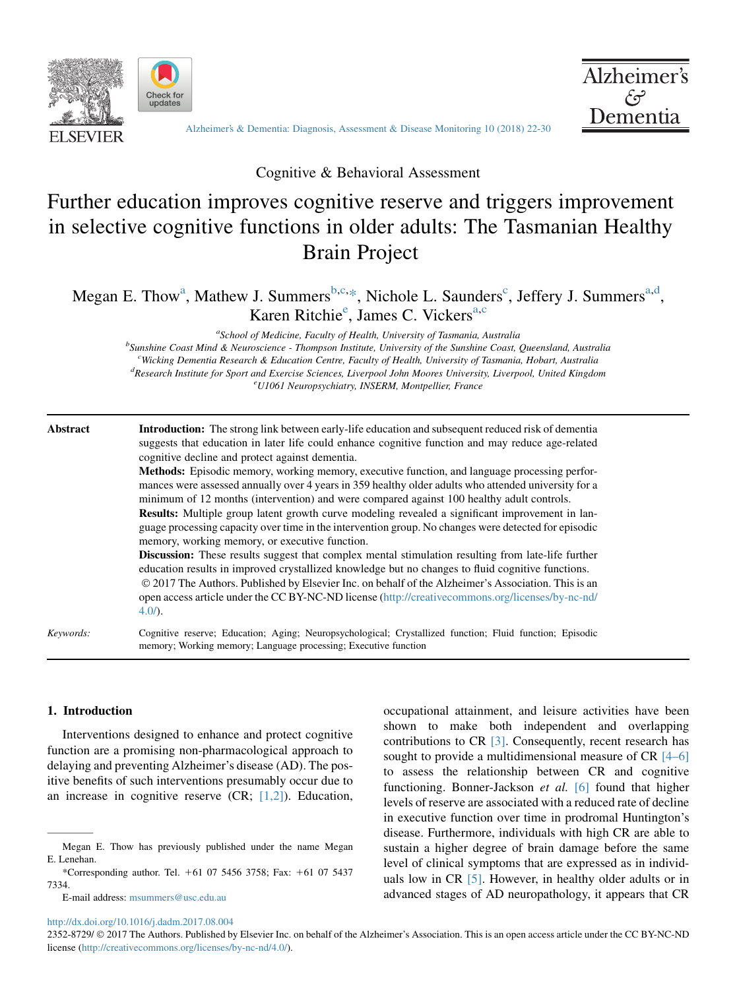

Check for<br>updates

[Alzheimer's & Dementia: Diagnosis, Assessment & Disease Monitoring 10 \(2018\) 22-30](http://dx.doi.org/10.1016/j.dadm.2017.08.004)



Cognitive & Behavioral Assessment

# Further education improves cognitive reserve and triggers improvement in selective cognitive functions in older adults: The Tasmanian Healthy Brain Project

Megan E. Thow<sup>a</sup>, Mathew J. Summers<sup>b,c,\*</sup>, Nichole L. Saunders<sup>c</sup>, Jeffery J. Summers<sup>a,d</sup>, Karen Ritchie<sup>e</sup>, James C. Vickers<sup>a,c</sup>

<sup>a</sup>School of Medicine, Faculty of Health, University of Tasmania, Australia<sup><br><sup>b</sup>Supshine Coast Mind & Nauvosciance, Thompson Institute University of the Supshine Coast</sup> <sup>b</sup>Sunshine Coast Mind & Neuroscience - Thompson Institute, University of the Sunshine Coast, Queensland, Australia <sup>c</sup>Wicking Dementia Research & Education Centre, Faculty of Health, University of Tasmania, Hobart, Australia<br><sup>d</sup> Research Institute for Sport and Exercise Sciences, Liverpool, John Moores University, Liverpool, United Kin <sup>d</sup>Research Institute for Sport and Exercise Sciences, Liverpool John Moores University, Liverpool, United Kingdom U1061 Neuropsychiatry, INSERM, Montpellier, France

Abstract Introduction: The strong link between early-life education and subsequent reduced risk of dementia suggests that education in later life could enhance cognitive function and may reduce age-related cognitive decline and protect against dementia.

Methods: Episodic memory, working memory, executive function, and language processing performances were assessed annually over 4 years in 359 healthy older adults who attended university for a minimum of 12 months (intervention) and were compared against 100 healthy adult controls. Results: Multiple group latent growth curve modeling revealed a significant improvement in language processing capacity over time in the intervention group. No changes were detected for episodic

memory, working memory, or executive function. Discussion: These results suggest that complex mental stimulation resulting from late-life further education results in improved crystallized knowledge but no changes to fluid cognitive functions. 2017 The Authors. Published by Elsevier Inc. on behalf of the Alzheimer's Association. This is an open access article under the CC BY-NC-ND license ([http://creativecommons.org/licenses/by-nc-nd/](http://creativecommons.org/licenses/by-nc-nd/4.0/) [4.0/](http://creativecommons.org/licenses/by-nc-nd/4.0/)).

Keywords: Cognitive reserve; Education; Aging; Neuropsychological; Crystallized function; Fluid function; Episodic memory; Working memory; Language processing; Executive function

#### 1. Introduction

Interventions designed to enhance and protect cognitive function are a promising non-pharmacological approach to delaying and preventing Alzheimer's disease (AD). The positive benefits of such interventions presumably occur due to an increase in cognitive reserve  $(CR; [1,2])$  $(CR; [1,2])$ . Education,

E-mail address: [msummers@usc.edu.au](mailto:msummers@usc.edu.au)

occupational attainment, and leisure activities have been shown to make both independent and overlapping contributions to CR [\[3\]](#page-7-0). Consequently, recent research has sought to provide a multidimensional measure of CR [\[4–6\]](#page-7-0) to assess the relationship between CR and cognitive functioning. Bonner-Jackson et al. [\[6\]](#page-7-0) found that higher levels of reserve are associated with a reduced rate of decline in executive function over time in prodromal Huntington's disease. Furthermore, individuals with high CR are able to sustain a higher degree of brain damage before the same level of clinical symptoms that are expressed as in individuals low in CR [\[5\].](#page-7-0) However, in healthy older adults or in advanced stages of AD neuropathology, it appears that CR

<http://dx.doi.org/10.1016/j.dadm.2017.08.004>

2352-8729/  $\odot$  2017 The Authors. Published by Elsevier Inc. on behalf of the Alzheimer's Association. This is an open access article under the CC BY-NC-ND license ([http://creativecommons.org/licenses/by-nc-nd/4.0/\)](http://creativecommons.org/licenses/by-nc-nd/4.0/).

Megan E. Thow has previously published under the name Megan E. Lenehan.

<sup>\*</sup>Corresponding author. Tel.  $+61$  07 5456 3758; Fax:  $+61$  07 5437 7334.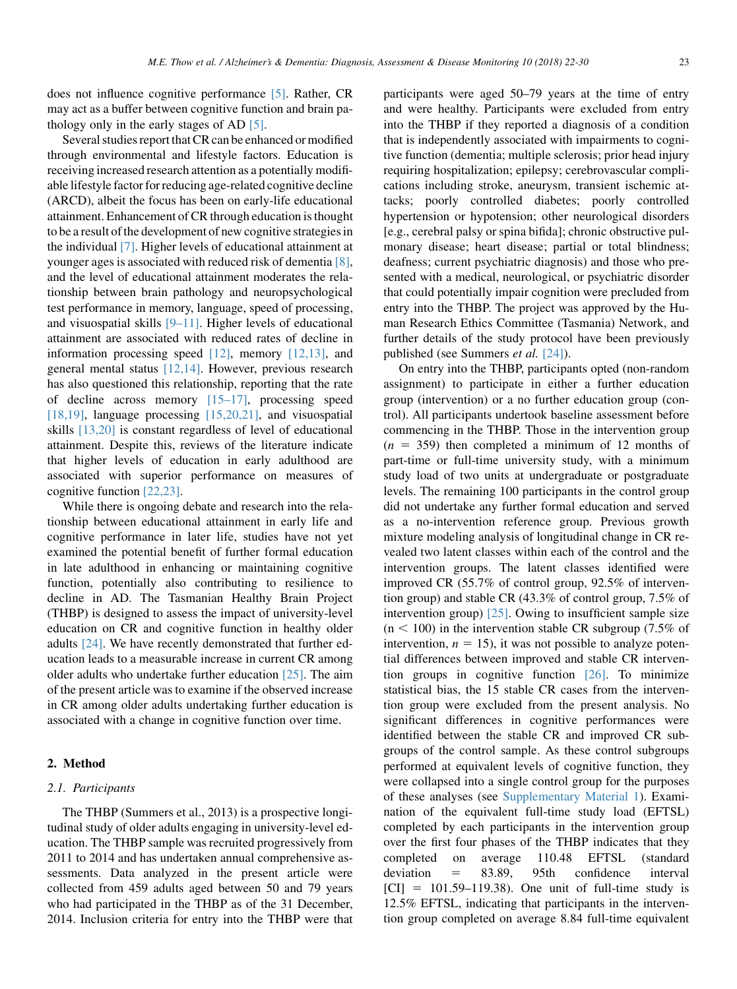does not influence cognitive performance [\[5\].](#page-7-0) Rather, CR may act as a buffer between cognitive function and brain pathology only in the early stages of AD [\[5\]](#page-7-0).

Several studies report that CR can be enhanced or modified through environmental and lifestyle factors. Education is receiving increased research attention as a potentially modifiable lifestyle factor for reducing age-related cognitive decline (ARCD), albeit the focus has been on early-life educational attainment. Enhancement of CR through education is thought to be a result of the development of new cognitive strategies in the individual [\[7\].](#page-7-0) Higher levels of educational attainment at younger ages is associated with reduced risk of dementia [\[8\],](#page-7-0) and the level of educational attainment moderates the relationship between brain pathology and neuropsychological test performance in memory, language, speed of processing, and visuospatial skills [\[9–11\].](#page-7-0) Higher levels of educational attainment are associated with reduced rates of decline in information processing speed  $[12]$ , memory  $[12,13]$ , and general mental status [\[12,14\].](#page-7-0) However, previous research has also questioned this relationship, reporting that the rate of decline across memory [\[15–17\]](#page-7-0), processing speed [\[18,19\],](#page-7-0) language processing  $[15,20,21]$ , and visuospatial skills [\[13,20\]](#page-7-0) is constant regardless of level of educational attainment. Despite this, reviews of the literature indicate that higher levels of education in early adulthood are associated with superior performance on measures of cognitive function [\[22,23\].](#page-7-0)

While there is ongoing debate and research into the relationship between educational attainment in early life and cognitive performance in later life, studies have not yet examined the potential benefit of further formal education in late adulthood in enhancing or maintaining cognitive function, potentially also contributing to resilience to decline in AD. The Tasmanian Healthy Brain Project (THBP) is designed to assess the impact of university-level education on CR and cognitive function in healthy older adults [\[24\]](#page-7-0). We have recently demonstrated that further education leads to a measurable increase in current CR among older adults who undertake further education [\[25\]](#page-8-0). The aim of the present article was to examine if the observed increase in CR among older adults undertaking further education is associated with a change in cognitive function over time.

#### 2. Method

#### 2.1. Participants

The THBP (Summers et al., 2013) is a prospective longitudinal study of older adults engaging in university-level education. The THBP sample was recruited progressively from 2011 to 2014 and has undertaken annual comprehensive assessments. Data analyzed in the present article were collected from 459 adults aged between 50 and 79 years who had participated in the THBP as of the 31 December, 2014. Inclusion criteria for entry into the THBP were that participants were aged 50–79 years at the time of entry and were healthy. Participants were excluded from entry into the THBP if they reported a diagnosis of a condition that is independently associated with impairments to cognitive function (dementia; multiple sclerosis; prior head injury requiring hospitalization; epilepsy; cerebrovascular complications including stroke, aneurysm, transient ischemic attacks; poorly controlled diabetes; poorly controlled hypertension or hypotension; other neurological disorders [e.g., cerebral palsy or spina bifida]; chronic obstructive pulmonary disease; heart disease; partial or total blindness; deafness; current psychiatric diagnosis) and those who presented with a medical, neurological, or psychiatric disorder that could potentially impair cognition were precluded from entry into the THBP. The project was approved by the Human Research Ethics Committee (Tasmania) Network, and further details of the study protocol have been previously published (see Summers et al. [\[24\]\)](#page-7-0).

On entry into the THBP, participants opted (non-random assignment) to participate in either a further education group (intervention) or a no further education group (control). All participants undertook baseline assessment before commencing in the THBP. Those in the intervention group  $(n = 359)$  then completed a minimum of 12 months of part-time or full-time university study, with a minimum study load of two units at undergraduate or postgraduate levels. The remaining 100 participants in the control group did not undertake any further formal education and served as a no-intervention reference group. Previous growth mixture modeling analysis of longitudinal change in CR revealed two latent classes within each of the control and the intervention groups. The latent classes identified were improved CR (55.7% of control group, 92.5% of intervention group) and stable CR (43.3% of control group, 7.5% of intervention group) [\[25\].](#page-8-0) Owing to insufficient sample size  $(n < 100)$  in the intervention stable CR subgroup (7.5% of intervention,  $n = 15$ ), it was not possible to analyze potential differences between improved and stable CR intervention groups in cognitive function [\[26\].](#page-8-0) To minimize statistical bias, the 15 stable CR cases from the intervention group were excluded from the present analysis. No significant differences in cognitive performances were identified between the stable CR and improved CR subgroups of the control sample. As these control subgroups performed at equivalent levels of cognitive function, they were collapsed into a single control group for the purposes of these analyses (see Supplementary Material 1). Examination of the equivalent full-time study load (EFTSL) completed by each participants in the intervention group over the first four phases of the THBP indicates that they completed on average 110.48 EFTSL (standard  $deviation = 83.89, 95th confidence interval$  $[CI] = 101.59 - 119.38$ . One unit of full-time study is 12.5% EFTSL, indicating that participants in the intervention group completed on average 8.84 full-time equivalent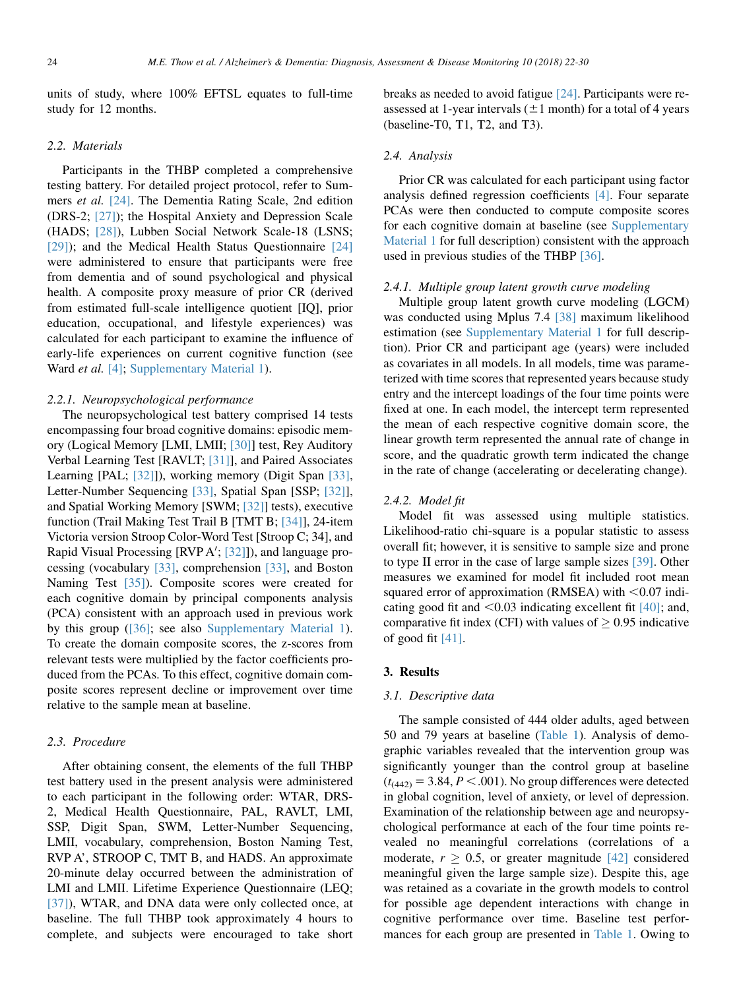units of study, where 100% EFTSL equates to full-time study for 12 months.

#### 2.2. Materials

Participants in the THBP completed a comprehensive testing battery. For detailed project protocol, refer to Summers et al. [\[24\]](#page-7-0). The Dementia Rating Scale, 2nd edition (DRS-2; [\[27\]\)](#page-8-0); the Hospital Anxiety and Depression Scale (HADS; [\[28\]](#page-8-0)), Lubben Social Network Scale-18 (LSNS; [\[29\]\)](#page-8-0); and the Medical Health Status Questionnaire [\[24\]](#page-7-0) were administered to ensure that participants were free from dementia and of sound psychological and physical health. A composite proxy measure of prior CR (derived from estimated full-scale intelligence quotient [IQ], prior education, occupational, and lifestyle experiences) was calculated for each participant to examine the influence of early-life experiences on current cognitive function (see Ward et al. [\[4\]](#page-7-0); Supplementary Material 1).

#### 2.2.1. Neuropsychological performance

The neuropsychological test battery comprised 14 tests encompassing four broad cognitive domains: episodic memory (Logical Memory [LMI, LMII; [\[30\]\]](#page-8-0) test, Rey Auditory Verbal Learning Test [RAVLT; [\[31\]\]](#page-8-0), and Paired Associates Learning [PAL; [\[32\]\]](#page-8-0)), working memory (Digit Span [\[33\],](#page-8-0) Letter-Number Sequencing [\[33\]](#page-8-0), Spatial Span [SSP; [\[32\]](#page-8-0)], and Spatial Working Memory [SWM; [\[32\]\]](#page-8-0) tests), executive function (Trail Making Test Trail B [TMT B; [\[34\]\]](#page-8-0), 24-item Victoria version Stroop Color-Word Test [Stroop C; 34], and Rapid Visual Processing [RVP A'; [\[32\]](#page-8-0)]), and language processing (vocabulary [\[33\]](#page-8-0), comprehension [\[33\]](#page-8-0), and Boston Naming Test [\[35\]\)](#page-8-0). Composite scores were created for each cognitive domain by principal components analysis (PCA) consistent with an approach used in previous work by this group ([\[36\]](#page-8-0); see also Supplementary Material 1). To create the domain composite scores, the z-scores from relevant tests were multiplied by the factor coefficients produced from the PCAs. To this effect, cognitive domain composite scores represent decline or improvement over time relative to the sample mean at baseline.

### 2.3. Procedure

After obtaining consent, the elements of the full THBP test battery used in the present analysis were administered to each participant in the following order: WTAR, DRS-2, Medical Health Questionnaire, PAL, RAVLT, LMI, SSP, Digit Span, SWM, Letter-Number Sequencing, LMII, vocabulary, comprehension, Boston Naming Test, RVP A', STROOP C, TMT B, and HADS. An approximate 20-minute delay occurred between the administration of LMI and LMII. Lifetime Experience Questionnaire (LEQ; [\[37\]\)](#page-8-0), WTAR, and DNA data were only collected once, at baseline. The full THBP took approximately 4 hours to complete, and subjects were encouraged to take short breaks as needed to avoid fatigue [\[24\].](#page-7-0) Participants were reassessed at 1-year intervals  $(\pm 1$  month) for a total of 4 years (baseline-T0, T1, T2, and T3).

#### 2.4. Analysis

Prior CR was calculated for each participant using factor analysis defined regression coefficients [\[4\].](#page-7-0) Four separate PCAs were then conducted to compute composite scores for each cognitive domain at baseline (see Supplementary Material 1 for full description) consistent with the approach used in previous studies of the THBP [\[36\]](#page-8-0).

#### 2.4.1. Multiple group latent growth curve modeling

Multiple group latent growth curve modeling (LGCM) was conducted using Mplus 7.4 [\[38\]](#page-8-0) maximum likelihood estimation (see Supplementary Material 1 for full description). Prior CR and participant age (years) were included as covariates in all models. In all models, time was parameterized with time scores that represented years because study entry and the intercept loadings of the four time points were fixed at one. In each model, the intercept term represented the mean of each respective cognitive domain score, the linear growth term represented the annual rate of change in score, and the quadratic growth term indicated the change in the rate of change (accelerating or decelerating change).

#### 2.4.2. Model fit

Model fit was assessed using multiple statistics. Likelihood-ratio chi-square is a popular statistic to assess overall fit; however, it is sensitive to sample size and prone to type II error in the case of large sample sizes [\[39\]](#page-8-0). Other measures we examined for model fit included root mean squared error of approximation (RMSEA) with  $< 0.07$  indicating good fit and  $\leq 0.03$  indicating excellent fit [\[40\];](#page-8-0) and, comparative fit index (CFI) with values of  $\geq$  0.95 indicative of good fit [\[41\].](#page-8-0)

#### 3. Results

#### 3.1. Descriptive data

The sample consisted of 444 older adults, aged between 50 and 79 years at baseline ([Table 1\)](#page-3-0). Analysis of demographic variables revealed that the intervention group was significantly younger than the control group at baseline  $(t<sub>(442)</sub> = 3.84, P < .001)$ . No group differences were detected in global cognition, level of anxiety, or level of depression. Examination of the relationship between age and neuropsychological performance at each of the four time points revealed no meaningful correlations (correlations of a moderate,  $r \geq 0.5$ , or greater magnitude [\[42\]](#page-8-0) considered meaningful given the large sample size). Despite this, age was retained as a covariate in the growth models to control for possible age dependent interactions with change in cognitive performance over time. Baseline test performances for each group are presented in [Table 1](#page-3-0). Owing to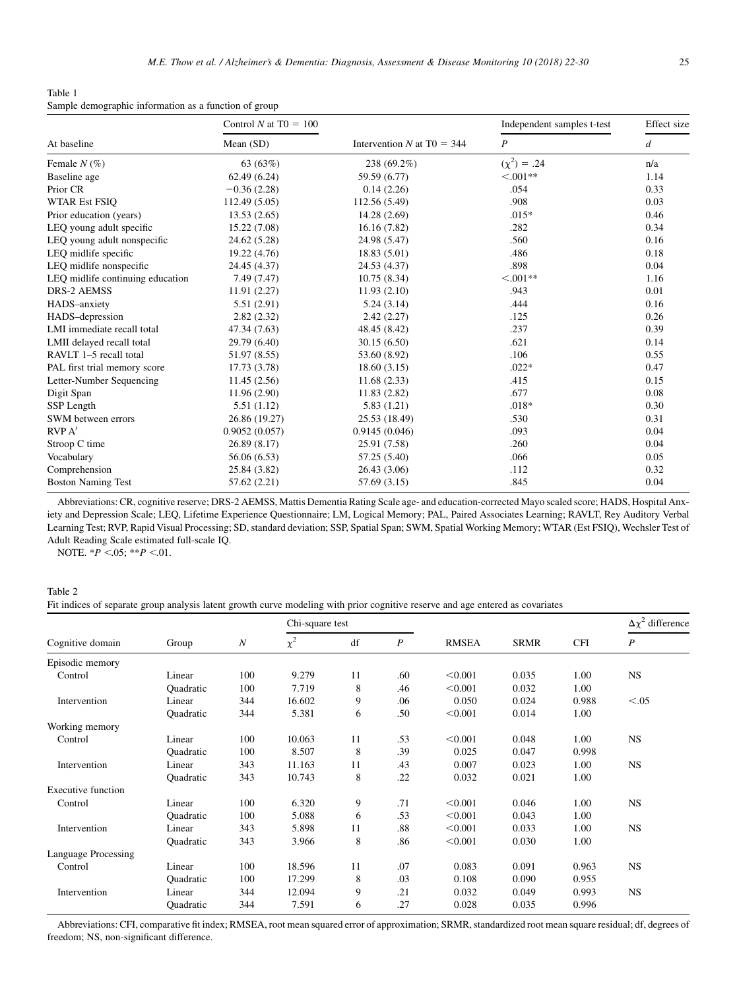<span id="page-3-0"></span>Table 1 Sample demographic information as a function of group

|                                  | Control N at $T0 = 100$ |                              | Independent samples t-test | Effect size<br>d |  |
|----------------------------------|-------------------------|------------------------------|----------------------------|------------------|--|
| At baseline                      | Mean (SD)               | Intervention N at $T0 = 344$ | $\boldsymbol{P}$           |                  |  |
| Female $N(\%)$                   | 63(63%)                 | 238 (69.2%)                  | $(\chi^2) = .24$           | n/a              |  |
| Baseline age                     | 62.49(6.24)             | 59.59 (6.77)                 | $< 0.01**$                 | 1.14             |  |
| Prior CR                         | $-0.36(2.28)$           | 0.14(2.26)                   | .054                       | 0.33             |  |
| <b>WTAR Est FSIO</b>             | 112.49(5.05)            | 112.56 (5.49)                | .908                       | 0.03             |  |
| Prior education (years)          | 13.53(2.65)             | 14.28 (2.69)                 | $.015*$                    | 0.46             |  |
| LEQ young adult specific         | 15.22 (7.08)            | 16.16(7.82)                  | .282                       | 0.34             |  |
| LEQ young adult nonspecific      | 24.62 (5.28)            | 24.98 (5.47)                 | .560                       | 0.16             |  |
| LEQ midlife specific             | 19.22(4.76)             | 18.83 (5.01)                 | .486                       | 0.18             |  |
| LEQ midlife nonspecific          | 24.45 (4.37)            | 24.53 (4.37)                 | .898                       | 0.04             |  |
| LEQ midlife continuing education | 7.49 (7.47)             | 10.75(8.34)                  | $< 0.01**$                 | 1.16             |  |
| <b>DRS-2 AEMSS</b>               | 11.91(2.27)             | 11.93(2.10)                  | .943                       | 0.01             |  |
| HADS-anxiety                     | 5.51(2.91)              | 5.24(3.14)                   | .444                       | 0.16             |  |
| HADS-depression                  | 2.82(2.32)              | 2.42(2.27)                   | .125                       | 0.26             |  |
| LMI immediate recall total       | 47.34 (7.63)            | 48.45 (8.42)                 | .237                       | 0.39             |  |
| LMII delayed recall total        | 29.79 (6.40)            | 30.15(6.50)                  | .621                       | 0.14             |  |
| RAVLT 1-5 recall total           | 51.97 (8.55)            | 53.60 (8.92)                 | .106                       | 0.55             |  |
| PAL first trial memory score     | 17.73 (3.78)            | 18.60(3.15)                  | $.022*$                    | 0.47             |  |
| Letter-Number Sequencing         | 11.45(2.56)             | 11.68(2.33)                  | .415                       | 0.15             |  |
| Digit Span                       | 11.96(2.90)             | 11.83(2.82)                  | .677                       | 0.08             |  |
| SSP Length                       | 5.51(1.12)              | 5.83(1.21)                   | $.018*$                    | 0.30             |  |
| SWM between errors               | 26.86 (19.27)           | 25.53 (18.49)                | .530                       | 0.31             |  |
| RVP A'                           | 0.9052(0.057)           | 0.9145(0.046)                | .093                       | 0.04             |  |
| Stroop C time                    | 26.89 (8.17)            | 25.91 (7.58)                 | .260                       | 0.04             |  |
| Vocabulary                       | 56.06 (6.53)            | 57.25 (5.40)                 | .066                       | 0.05             |  |
| Comprehension                    | 25.84 (3.82)            | 26.43 (3.06)                 | .112                       | 0.32             |  |
| <b>Boston Naming Test</b>        | 57.62 (2.21)            | 57.69 (3.15)                 | .845                       | 0.04             |  |

Abbreviations: CR, cognitive reserve; DRS-2 AEMSS, Mattis Dementia Rating Scale age- and education-corrected Mayo scaled score; HADS, Hospital Anxiety and Depression Scale; LEQ, Lifetime Experience Questionnaire; LM, Logical Memory; PAL, Paired Associates Learning; RAVLT, Rey Auditory Verbal Learning Test; RVP, Rapid Visual Processing; SD, standard deviation; SSP, Spatial Span; SWM, Spatial Working Memory; WTAR (Est FSIQ), Wechsler Test of Adult Reading Scale estimated full-scale IQ.

NOTE.  $*P < 05$ ;  $**P < 01$ .

#### Table 2

Fit indices of separate group analysis latent growth curve modeling with prior cognitive reserve and age entered as covariates

| Cognitive domain          | Group            | $\boldsymbol{N}$ | Chi-square test |    |     |              |             | $\Delta \chi^2$ difference |                  |
|---------------------------|------------------|------------------|-----------------|----|-----|--------------|-------------|----------------------------|------------------|
|                           |                  |                  | $\chi^2$        | df | P   | <b>RMSEA</b> | <b>SRMR</b> | <b>CFI</b>                 | $\boldsymbol{P}$ |
| Episodic memory           |                  |                  |                 |    |     |              |             |                            |                  |
| Control                   | Linear           | 100              | 9.279           | 11 | .60 | < 0.001      | 0.035       | 1.00                       | <b>NS</b>        |
|                           | <b>Quadratic</b> | 100              | 7.719           | 8  | .46 | < 0.001      | 0.032       | 1.00                       |                  |
| Intervention              | Linear           | 344              | 16.602          | 9  | .06 | 0.050        | 0.024       | 0.988                      | < 0.05           |
|                           | Quadratic        | 344              | 5.381           | 6  | .50 | < 0.001      | 0.014       | 1.00                       |                  |
| Working memory            |                  |                  |                 |    |     |              |             |                            |                  |
| Control                   | Linear           | 100              | 10.063          | 11 | .53 | < 0.001      | 0.048       | 1.00                       | <b>NS</b>        |
|                           | <b>Quadratic</b> | 100              | 8.507           | 8  | .39 | 0.025        | 0.047       | 0.998                      |                  |
| Intervention              | Linear           | 343              | 11.163          | 11 | .43 | 0.007        | 0.023       | 1.00                       | <b>NS</b>        |
|                           | Quadratic        | 343              | 10.743          | 8  | .22 | 0.032        | 0.021       | 1.00                       |                  |
| <b>Executive function</b> |                  |                  |                 |    |     |              |             |                            |                  |
| Control                   | Linear           | 100              | 6.320           | 9  | .71 | < 0.001      | 0.046       | 1.00                       | <b>NS</b>        |
|                           | Quadratic        | 100              | 5.088           | 6  | .53 | < 0.001      | 0.043       | 1.00                       |                  |
| Intervention              | Linear           | 343              | 5.898           | 11 | .88 | < 0.001      | 0.033       | 1.00                       | <b>NS</b>        |
|                           | <b>Quadratic</b> | 343              | 3.966           | 8  | .86 | < 0.001      | 0.030       | 1.00                       |                  |
| Language Processing       |                  |                  |                 |    |     |              |             |                            |                  |
| Control                   | Linear           | 100              | 18.596          | 11 | .07 | 0.083        | 0.091       | 0.963                      | <b>NS</b>        |
|                           | <b>Quadratic</b> | 100              | 17.299          | 8  | .03 | 0.108        | 0.090       | 0.955                      |                  |
| Intervention              | Linear           | 344              | 12.094          | 9  | .21 | 0.032        | 0.049       | 0.993                      | <b>NS</b>        |
|                           | <b>Quadratic</b> | 344              | 7.591           | 6  | .27 | 0.028        | 0.035       | 0.996                      |                  |

Abbreviations: CFI, comparative fit index; RMSEA, root mean squared error of approximation; SRMR, standardized root mean square residual; df, degrees of freedom; NS, non-significant difference.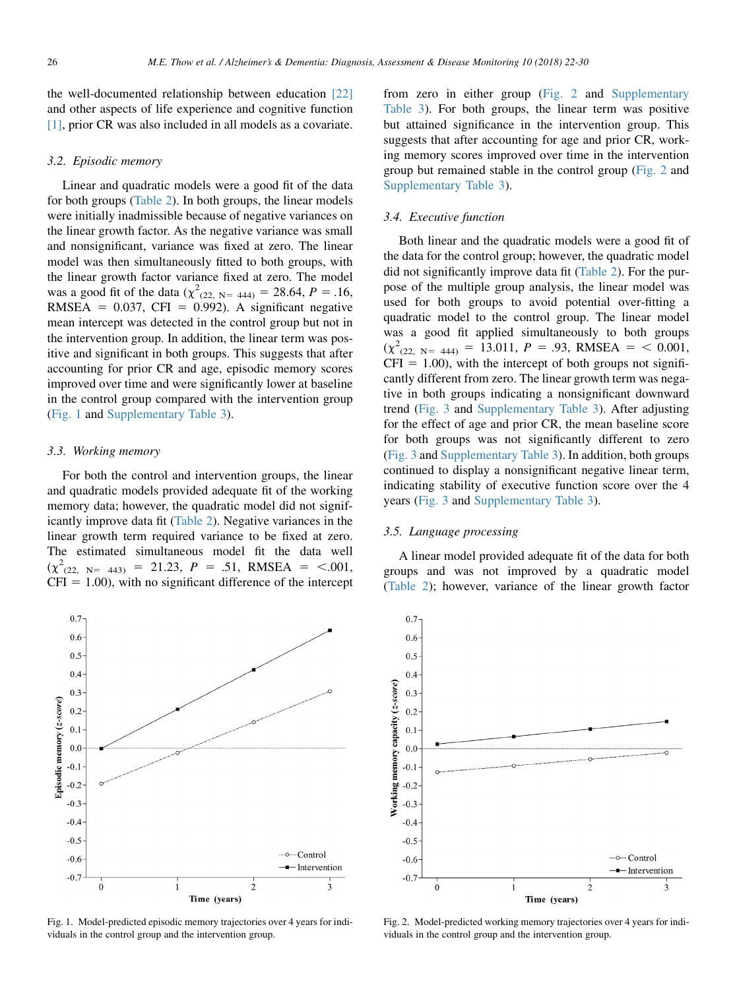the well-documented relationship between education [\[22\]](#page-7-0) and other aspects of life experience and cognitive function [\[1\],](#page-7-0) prior CR was also included in all models as a covariate.

#### 3.2. Episodic memory

Linear and quadratic models were a good fit of the data for both groups ([Table 2\)](#page-3-0). In both groups, the linear models were initially inadmissible because of negative variances on the linear growth factor. As the negative variance was small and nonsignificant, variance was fixed at zero. The linear model was then simultaneously fitted to both groups, with the linear growth factor variance fixed at zero. The model was a good fit of the data ( $\chi^2$ <sub>(22, N= 444)</sub> = 28.64, P = .16, RMSEA =  $0.037$ , CFI = 0.992). A significant negative mean intercept was detected in the control group but not in the intervention group. In addition, the linear term was positive and significant in both groups. This suggests that after accounting for prior CR and age, episodic memory scores improved over time and were significantly lower at baseline in the control group compared with the intervention group (Fig. 1 and Supplementary Table 3).

#### 3.3. Working memory

For both the control and intervention groups, the linear and quadratic models provided adequate fit of the working memory data; however, the quadratic model did not significantly improve data fit [\(Table 2](#page-3-0)). Negative variances in the linear growth term required variance to be fixed at zero. The estimated simultaneous model fit the data well  $(\chi^2_{(22, N=443)} = 21.23, P = .51, RMSEA = <.001,$  $CFI = 1.00$ , with no significant difference of the intercept



Fig. 1. Model-predicted episodic memory trajectories over 4 years for individuals in the control group and the intervention group.

from zero in either group (Fig. 2 and Supplementary Table 3). For both groups, the linear term was positive but attained significance in the intervention group. This suggests that after accounting for age and prior CR, working memory scores improved over time in the intervention group but remained stable in the control group (Fig. 2 and Supplementary Table 3).

#### 3.4. Executive function

Both linear and the quadratic models were a good fit of the data for the control group; however, the quadratic model did not significantly improve data fit ([Table 2\)](#page-3-0). For the purpose of the multiple group analysis, the linear model was used for both groups to avoid potential over-fitting a quadratic model to the control group. The linear model was a good fit applied simultaneously to both groups  $(\chi^2_{(22, N5 = 444)} = 13.011, P = .93, RMSEA =  $0.001$ ,$  $CFI = 1.00$ , with the intercept of both groups not significantly different from zero. The linear growth term was negative in both groups indicating a nonsignificant downward trend [\(Fig. 3](#page-5-0) and Supplementary Table 3). After adjusting for the effect of age and prior CR, the mean baseline score for both groups was not significantly different to zero [\(Fig. 3](#page-5-0) and Supplementary Table 3). In addition, both groups continued to display a nonsignificant negative linear term, indicating stability of executive function score over the 4 years [\(Fig. 3](#page-5-0) and Supplementary Table 3).

#### 3.5. Language processing

A linear model provided adequate fit of the data for both groups and was not improved by a quadratic model [\(Table 2](#page-3-0)); however, variance of the linear growth factor



Fig. 2. Model-predicted working memory trajectories over 4 years for individuals in the control group and the intervention group.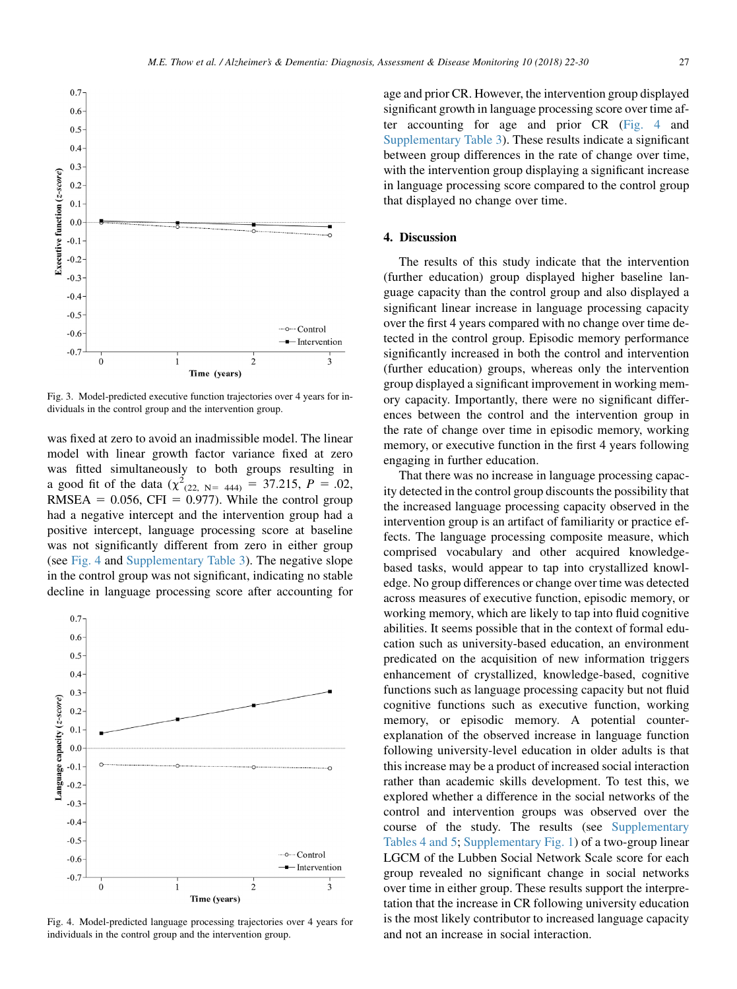<span id="page-5-0"></span>

Fig. 3. Model-predicted executive function trajectories over 4 years for individuals in the control group and the intervention group.

was fixed at zero to avoid an inadmissible model. The linear model with linear growth factor variance fixed at zero was fitted simultaneously to both groups resulting in a good fit of the data  $(\chi^2_{(22, N=444)} = 37.215, P = .02,$ RMSEA =  $0.056$ , CFI = 0.977). While the control group had a negative intercept and the intervention group had a positive intercept, language processing score at baseline was not significantly different from zero in either group (see Fig. 4 and Supplementary Table 3). The negative slope in the control group was not significant, indicating no stable decline in language processing score after accounting for



Fig. 4. Model-predicted language processing trajectories over 4 years for individuals in the control group and the intervention group.

age and prior CR. However, the intervention group displayed significant growth in language processing score over time after accounting for age and prior CR (Fig. 4 and Supplementary Table 3). These results indicate a significant between group differences in the rate of change over time, with the intervention group displaying a significant increase in language processing score compared to the control group that displayed no change over time.

#### 4. Discussion

The results of this study indicate that the intervention (further education) group displayed higher baseline language capacity than the control group and also displayed a significant linear increase in language processing capacity over the first 4 years compared with no change over time detected in the control group. Episodic memory performance significantly increased in both the control and intervention (further education) groups, whereas only the intervention group displayed a significant improvement in working memory capacity. Importantly, there were no significant differences between the control and the intervention group in the rate of change over time in episodic memory, working memory, or executive function in the first 4 years following engaging in further education.

That there was no increase in language processing capacity detected in the control group discounts the possibility that the increased language processing capacity observed in the intervention group is an artifact of familiarity or practice effects. The language processing composite measure, which comprised vocabulary and other acquired knowledgebased tasks, would appear to tap into crystallized knowledge. No group differences or change over time was detected across measures of executive function, episodic memory, or working memory, which are likely to tap into fluid cognitive abilities. It seems possible that in the context of formal education such as university-based education, an environment predicated on the acquisition of new information triggers enhancement of crystallized, knowledge-based, cognitive functions such as language processing capacity but not fluid cognitive functions such as executive function, working memory, or episodic memory. A potential counterexplanation of the observed increase in language function following university-level education in older adults is that this increase may be a product of increased social interaction rather than academic skills development. To test this, we explored whether a difference in the social networks of the control and intervention groups was observed over the course of the study. The results (see Supplementary Tables 4 and 5; Supplementary Fig. 1) of a two-group linear LGCM of the Lubben Social Network Scale score for each group revealed no significant change in social networks over time in either group. These results support the interpretation that the increase in CR following university education is the most likely contributor to increased language capacity and not an increase in social interaction.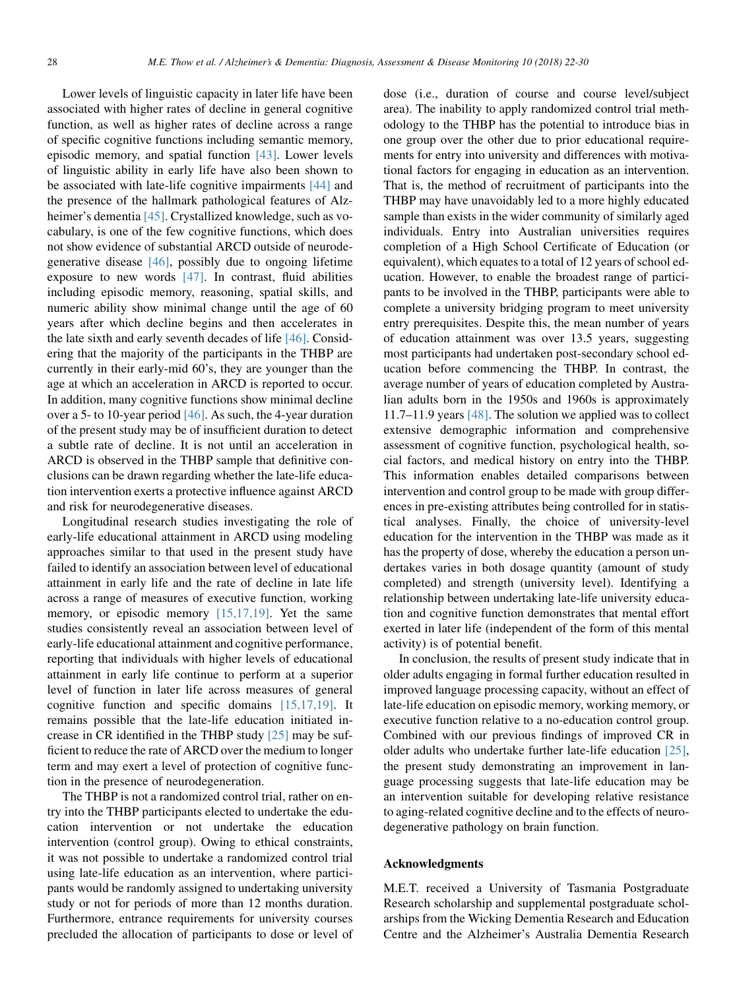Lower levels of linguistic capacity in later life have been associated with higher rates of decline in general cognitive function, as well as higher rates of decline across a range of specific cognitive functions including semantic memory, episodic memory, and spatial function [\[43\]](#page-8-0). Lower levels of linguistic ability in early life have also been shown to be associated with late-life cognitive impairments [\[44\]](#page-8-0) and the presence of the hallmark pathological features of Alzheimer's dementia [\[45\].](#page-8-0) Crystallized knowledge, such as vocabulary, is one of the few cognitive functions, which does not show evidence of substantial ARCD outside of neurodegenerative disease [\[46\],](#page-8-0) possibly due to ongoing lifetime exposure to new words [\[47\]](#page-8-0). In contrast, fluid abilities including episodic memory, reasoning, spatial skills, and numeric ability show minimal change until the age of 60 years after which decline begins and then accelerates in the late sixth and early seventh decades of life [\[46\].](#page-8-0) Considering that the majority of the participants in the THBP are currently in their early-mid 60's, they are younger than the age at which an acceleration in ARCD is reported to occur. In addition, many cognitive functions show minimal decline over a 5- to 10-year period [\[46\]](#page-8-0). As such, the 4-year duration of the present study may be of insufficient duration to detect a subtle rate of decline. It is not until an acceleration in ARCD is observed in the THBP sample that definitive conclusions can be drawn regarding whether the late-life education intervention exerts a protective influence against ARCD and risk for neurodegenerative diseases.

Longitudinal research studies investigating the role of early-life educational attainment in ARCD using modeling approaches similar to that used in the present study have failed to identify an association between level of educational attainment in early life and the rate of decline in late life across a range of measures of executive function, working memory, or episodic memory [\[15,17,19\].](#page-7-0) Yet the same studies consistently reveal an association between level of early-life educational attainment and cognitive performance, reporting that individuals with higher levels of educational attainment in early life continue to perform at a superior level of function in later life across measures of general cognitive function and specific domains [\[15,17,19\].](#page-7-0) It remains possible that the late-life education initiated increase in CR identified in the THBP study [\[25\]](#page-8-0) may be sufficient to reduce the rate of ARCD over the medium to longer term and may exert a level of protection of cognitive function in the presence of neurodegeneration.

The THBP is not a randomized control trial, rather on entry into the THBP participants elected to undertake the education intervention or not undertake the education intervention (control group). Owing to ethical constraints, it was not possible to undertake a randomized control trial using late-life education as an intervention, where participants would be randomly assigned to undertaking university study or not for periods of more than 12 months duration. Furthermore, entrance requirements for university courses precluded the allocation of participants to dose or level of dose (i.e., duration of course and course level/subject area). The inability to apply randomized control trial methodology to the THBP has the potential to introduce bias in one group over the other due to prior educational requirements for entry into university and differences with motivational factors for engaging in education as an intervention. That is, the method of recruitment of participants into the THBP may have unavoidably led to a more highly educated sample than exists in the wider community of similarly aged individuals. Entry into Australian universities requires completion of a High School Certificate of Education (or equivalent), which equates to a total of 12 years of school education. However, to enable the broadest range of participants to be involved in the THBP, participants were able to complete a university bridging program to meet university entry prerequisites. Despite this, the mean number of years of education attainment was over 13.5 years, suggesting most participants had undertaken post-secondary school education before commencing the THBP. In contrast, the average number of years of education completed by Australian adults born in the 1950s and 1960s is approximately 11.7–11.9 years [\[48\]](#page-8-0). The solution we applied was to collect extensive demographic information and comprehensive assessment of cognitive function, psychological health, social factors, and medical history on entry into the THBP. This information enables detailed comparisons between intervention and control group to be made with group differences in pre-existing attributes being controlled for in statistical analyses. Finally, the choice of university-level education for the intervention in the THBP was made as it has the property of dose, whereby the education a person undertakes varies in both dosage quantity (amount of study completed) and strength (university level). Identifying a relationship between undertaking late-life university education and cognitive function demonstrates that mental effort exerted in later life (independent of the form of this mental activity) is of potential benefit.

In conclusion, the results of present study indicate that in older adults engaging in formal further education resulted in improved language processing capacity, without an effect of late-life education on episodic memory, working memory, or executive function relative to a no-education control group. Combined with our previous findings of improved CR in older adults who undertake further late-life education [\[25\],](#page-8-0) the present study demonstrating an improvement in language processing suggests that late-life education may be an intervention suitable for developing relative resistance to aging-related cognitive decline and to the effects of neurodegenerative pathology on brain function.

#### Acknowledgments

M.E.T. received a University of Tasmania Postgraduate Research scholarship and supplemental postgraduate scholarships from the Wicking Dementia Research and Education Centre and the Alzheimer's Australia Dementia Research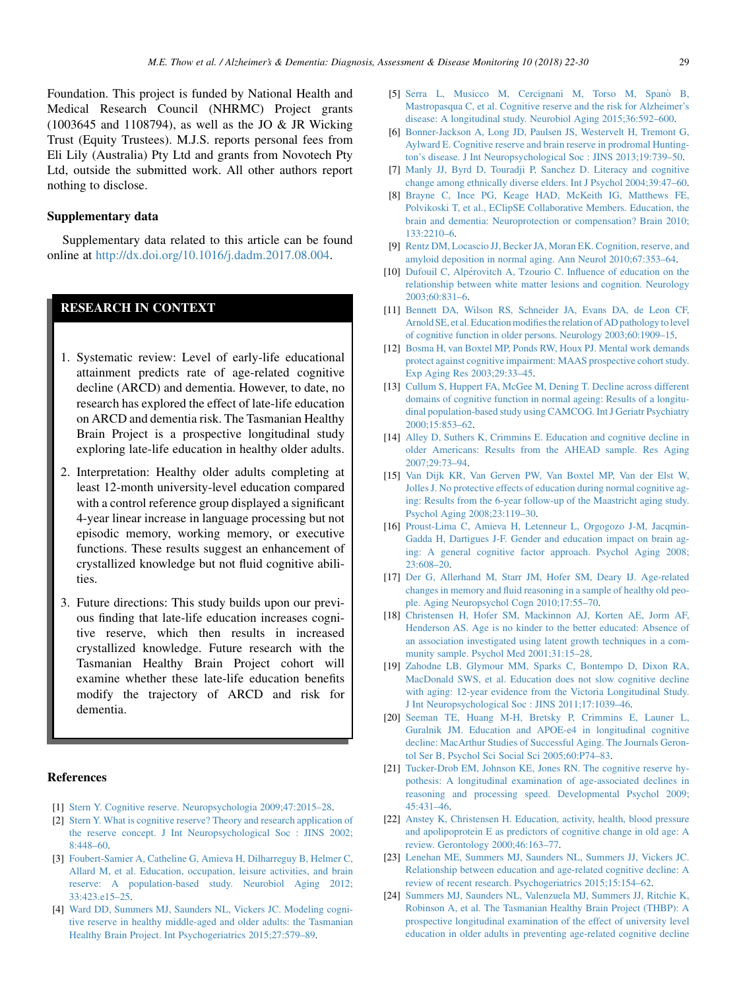<span id="page-7-0"></span>Foundation. This project is funded by National Health and Medical Research Council (NHRMC) Project grants (1003645 and 1108794), as well as the JO & JR Wicking Trust (Equity Trustees). M.J.S. reports personal fees from Eli Lily (Australia) Pty Ltd and grants from Novotech Pty Ltd, outside the submitted work. All other authors report nothing to disclose.

#### Supplementary data

Supplementary data related to this article can be found online at [http://dx.doi.org/10.1016/j.dadm.2017.08.004.](http://dx.doi.org/10.1016/j.dadm.2017.08.004)

## RESEARCH IN CONTEXT

- 1. Systematic review: Level of early-life educational attainment predicts rate of age-related cognitive decline (ARCD) and dementia. However, to date, no research has explored the effect of late-life education on ARCD and dementia risk. The Tasmanian Healthy Brain Project is a prospective longitudinal study exploring late-life education in healthy older adults.
- 2. Interpretation: Healthy older adults completing at least 12-month university-level education compared with a control reference group displayed a significant 4-year linear increase in language processing but not episodic memory, working memory, or executive functions. These results suggest an enhancement of crystallized knowledge but not fluid cognitive abilities.
- 3. Future directions: This study builds upon our previous finding that late-life education increases cognitive reserve, which then results in increased crystallized knowledge. Future research with the Tasmanian Healthy Brain Project cohort will examine whether these late-life education benefits modify the trajectory of ARCD and risk for dementia.

#### References

- [1] [Stern Y. Cognitive reserve. Neuropsychologia 2009;47:2015–28](http://refhub.elsevier.com/S2352-8729(17)30051-9/sref1).
- [2] [Stern Y. What is cognitive reserve? Theory and research application of](http://refhub.elsevier.com/S2352-8729(17)30051-9/sref2) [the reserve concept. J Int Neuropsychological Soc : JINS 2002;](http://refhub.elsevier.com/S2352-8729(17)30051-9/sref2) [8:448–60](http://refhub.elsevier.com/S2352-8729(17)30051-9/sref2).
- [3] [Foubert-Samier A, Catheline G, Amieva H, Dilharreguy B, Helmer C,](http://refhub.elsevier.com/S2352-8729(17)30051-9/sref3) [Allard M, et al. Education, occupation, leisure activities, and brain](http://refhub.elsevier.com/S2352-8729(17)30051-9/sref3) [reserve: A population-based study. Neurobiol Aging 2012;](http://refhub.elsevier.com/S2352-8729(17)30051-9/sref3) [33:423.e15–25.](http://refhub.elsevier.com/S2352-8729(17)30051-9/sref3)
- [4] [Ward DD, Summers MJ, Saunders NL, Vickers JC. Modeling cogni](http://refhub.elsevier.com/S2352-8729(17)30051-9/sref4)[tive reserve in healthy middle-aged and older adults: the Tasmanian](http://refhub.elsevier.com/S2352-8729(17)30051-9/sref4) [Healthy Brain Project. Int Psychogeriatrics 2015;27:579–89.](http://refhub.elsevier.com/S2352-8729(17)30051-9/sref4)
- [5] [Serra L, Musicco M, Cercignani M, Torso M, Span](http://refhub.elsevier.com/S2352-8729(17)30051-9/sref5)ò [B,](http://refhub.elsevier.com/S2352-8729(17)30051-9/sref5) [Mastropasqua C, et al. Cognitive reserve and the risk for Alzheimer's](http://refhub.elsevier.com/S2352-8729(17)30051-9/sref5) [disease: A longitudinal study. Neurobiol Aging 2015;36:592–600](http://refhub.elsevier.com/S2352-8729(17)30051-9/sref5).
- [6] [Bonner-Jackson A, Long JD, Paulsen JS, Westervelt H, Tremont G,](http://refhub.elsevier.com/S2352-8729(17)30051-9/sref6) [Aylward E. Cognitive reserve and brain reserve in prodromal Hunting](http://refhub.elsevier.com/S2352-8729(17)30051-9/sref6)[ton's disease. J Int Neuropsychological Soc : JINS 2013;19:739–50.](http://refhub.elsevier.com/S2352-8729(17)30051-9/sref6)
- [7] [Manly JJ, Byrd D, Touradji P, Sanchez D. Literacy and cognitive](http://refhub.elsevier.com/S2352-8729(17)30051-9/sref7) [change among ethnically diverse elders. Int J Psychol 2004;39:47–60](http://refhub.elsevier.com/S2352-8729(17)30051-9/sref7).
- [8] [Brayne C, Ince PG, Keage HAD, McKeith IG, Matthews FE,](http://refhub.elsevier.com/S2352-8729(17)30051-9/sref8) [Polvikoski T, et al., EClipSE Collaborative Members. Education, the](http://refhub.elsevier.com/S2352-8729(17)30051-9/sref8) [brain and dementia: Neuroprotection or compensation? Brain 2010;](http://refhub.elsevier.com/S2352-8729(17)30051-9/sref8) [133:2210–6](http://refhub.elsevier.com/S2352-8729(17)30051-9/sref8).
- [9] [Rentz DM, Locascio JJ, Becker JA, Moran EK. Cognition, reserve, and](http://refhub.elsevier.com/S2352-8729(17)30051-9/sref9) [amyloid deposition in normal aging. Ann Neurol 2010;67:353–64.](http://refhub.elsevier.com/S2352-8729(17)30051-9/sref9)
- [10] [Dufouil C, Alp](http://refhub.elsevier.com/S2352-8729(17)30051-9/sref10)érovitch A, Tzourio C. Influence of education on the [relationship between white matter lesions and cognition. Neurology](http://refhub.elsevier.com/S2352-8729(17)30051-9/sref10) [2003;60:831–6](http://refhub.elsevier.com/S2352-8729(17)30051-9/sref10).
- [11] [Bennett DA, Wilson RS, Schneider JA, Evans DA, de Leon CF,](http://refhub.elsevier.com/S2352-8729(17)30051-9/sref11) Arnold SE, et al. Education modifies the relation of AD pathology to level [of cognitive function in older persons. Neurology 2003;60:1909–15.](http://refhub.elsevier.com/S2352-8729(17)30051-9/sref11)
- [12] [Bosma H, van Boxtel MP, Ponds RW, Houx PJ. Mental work demands](http://refhub.elsevier.com/S2352-8729(17)30051-9/sref12) [protect against cognitive impairment: MAAS prospective cohort study.](http://refhub.elsevier.com/S2352-8729(17)30051-9/sref12) [Exp Aging Res 2003;29:33–45.](http://refhub.elsevier.com/S2352-8729(17)30051-9/sref12)
- [13] [Cullum S, Huppert FA, McGee M, Dening T. Decline across different](http://refhub.elsevier.com/S2352-8729(17)30051-9/sref13) [domains of cognitive function in normal ageing: Results of a longitu](http://refhub.elsevier.com/S2352-8729(17)30051-9/sref13)[dinal population-based study using CAMCOG. Int J Geriatr Psychiatry](http://refhub.elsevier.com/S2352-8729(17)30051-9/sref13) [2000;15:853–62](http://refhub.elsevier.com/S2352-8729(17)30051-9/sref13).
- [14] [Alley D, Suthers K, Crimmins E. Education and cognitive decline in](http://refhub.elsevier.com/S2352-8729(17)30051-9/sref14) [older Americans: Results from the AHEAD sample. Res Aging](http://refhub.elsevier.com/S2352-8729(17)30051-9/sref14)  $2007.29.73 - 94$
- [15] [Van Dijk KR, Van Gerven PW, Van Boxtel MP, Van der Elst W,](http://refhub.elsevier.com/S2352-8729(17)30051-9/sref15) [Jolles J. No protective effects of education during normal cognitive ag](http://refhub.elsevier.com/S2352-8729(17)30051-9/sref15)[ing: Results from the 6-year follow-up of the Maastricht aging study.](http://refhub.elsevier.com/S2352-8729(17)30051-9/sref15) [Psychol Aging 2008;23:119–30.](http://refhub.elsevier.com/S2352-8729(17)30051-9/sref15)
- [16] [Proust-Lima C, Amieva H, Letenneur L, Orgogozo J-M, Jacqmin-](http://refhub.elsevier.com/S2352-8729(17)30051-9/sref16)[Gadda H, Dartigues J-F. Gender and education impact on brain ag](http://refhub.elsevier.com/S2352-8729(17)30051-9/sref16)[ing: A general cognitive factor approach. Psychol Aging 2008;](http://refhub.elsevier.com/S2352-8729(17)30051-9/sref16) [23:608–20](http://refhub.elsevier.com/S2352-8729(17)30051-9/sref16).
- [17] [Der G, Allerhand M, Starr JM, Hofer SM, Deary IJ. Age-related](http://refhub.elsevier.com/S2352-8729(17)30051-9/sref17) [changes in memory and fluid reasoning in a sample of healthy old peo](http://refhub.elsevier.com/S2352-8729(17)30051-9/sref17)[ple. Aging Neuropsychol Cogn 2010;17:55–70.](http://refhub.elsevier.com/S2352-8729(17)30051-9/sref17)
- [18] [Christensen H, Hofer SM, Mackinnon AJ, Korten AE, Jorm AF,](http://refhub.elsevier.com/S2352-8729(17)30051-9/sref18) [Henderson AS. Age is no kinder to the better educated: Absence of](http://refhub.elsevier.com/S2352-8729(17)30051-9/sref18) [an association investigated using latent growth techniques in a com](http://refhub.elsevier.com/S2352-8729(17)30051-9/sref18)[munity sample. Psychol Med 2001;31:15–28](http://refhub.elsevier.com/S2352-8729(17)30051-9/sref18).
- [19] [Zahodne LB, Glymour MM, Sparks C, Bontempo D, Dixon RA,](http://refhub.elsevier.com/S2352-8729(17)30051-9/sref19) [MacDonald SWS, et al. Education does not slow cognitive decline](http://refhub.elsevier.com/S2352-8729(17)30051-9/sref19) [with aging: 12-year evidence from the Victoria Longitudinal Study.](http://refhub.elsevier.com/S2352-8729(17)30051-9/sref19) [J Int Neuropsychological Soc : JINS 2011;17:1039–46.](http://refhub.elsevier.com/S2352-8729(17)30051-9/sref19)
- [20] [Seeman TE, Huang M-H, Bretsky P, Crimmins E, Launer L,](http://refhub.elsevier.com/S2352-8729(17)30051-9/sref20) [Guralnik JM. Education and APOE-e4 in longitudinal cognitive](http://refhub.elsevier.com/S2352-8729(17)30051-9/sref20) [decline: MacArthur Studies of Successful Aging. The Journals Geron](http://refhub.elsevier.com/S2352-8729(17)30051-9/sref20)[tol Ser B, Psychol Sci Social Sci 2005;60:P74–83](http://refhub.elsevier.com/S2352-8729(17)30051-9/sref20).
- [21] [Tucker-Drob EM, Johnson KE, Jones RN. The cognitive reserve hy](http://refhub.elsevier.com/S2352-8729(17)30051-9/sref21)[pothesis: A longitudinal examination of age-associated declines in](http://refhub.elsevier.com/S2352-8729(17)30051-9/sref21) [reasoning and processing speed. Developmental Psychol 2009;](http://refhub.elsevier.com/S2352-8729(17)30051-9/sref21) [45:431–46](http://refhub.elsevier.com/S2352-8729(17)30051-9/sref21).
- [22] [Anstey K, Christensen H. Education, activity, health, blood pressure](http://refhub.elsevier.com/S2352-8729(17)30051-9/sref22) [and apolipoprotein E as predictors of cognitive change in old age: A](http://refhub.elsevier.com/S2352-8729(17)30051-9/sref22) [review. Gerontology 2000;46:163–77.](http://refhub.elsevier.com/S2352-8729(17)30051-9/sref22)
- [23] [Lenehan ME, Summers MJ, Saunders NL, Summers JJ, Vickers JC.](http://refhub.elsevier.com/S2352-8729(17)30051-9/sref23) [Relationship between education and age-related cognitive decline: A](http://refhub.elsevier.com/S2352-8729(17)30051-9/sref23) [review of recent research. Psychogeriatrics 2015;15:154–62](http://refhub.elsevier.com/S2352-8729(17)30051-9/sref23).
- [24] [Summers MJ, Saunders NL, Valenzuela MJ, Summers JJ, Ritchie K,](http://refhub.elsevier.com/S2352-8729(17)30051-9/sref24) [Robinson A, et al. The Tasmanian Healthy Brain Project \(THBP\): A](http://refhub.elsevier.com/S2352-8729(17)30051-9/sref24) [prospective longitudinal examination of the effect of university level](http://refhub.elsevier.com/S2352-8729(17)30051-9/sref24) [education in older adults in preventing age-related cognitive decline](http://refhub.elsevier.com/S2352-8729(17)30051-9/sref24)